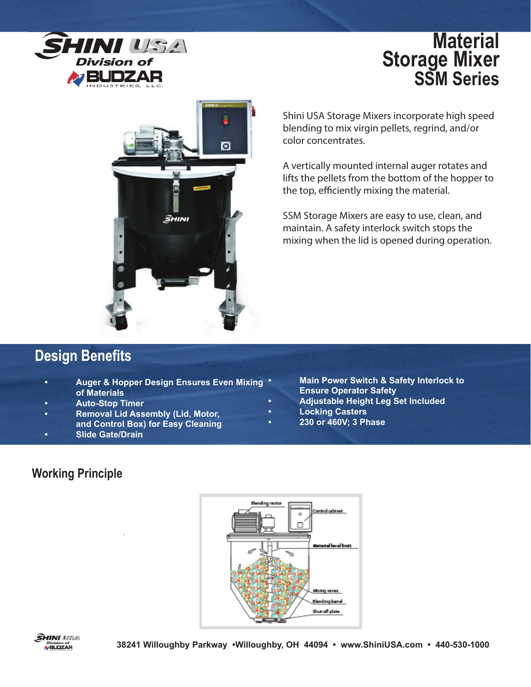

# **Material Storage Mixer SSM Series**



Shini USA Storage Mixers incorporate high speed blending to mix virgin pellets, regrind, and/or color concentrates.

A vertically mounted internal auger rotates and lifts the pellets from the bottom of the hopper to the top, efficiently mixing the material.

SSM Storage Mixers are easy to use, clean, and maintain. A safety interlock switch stops the mixing when the lid is opened during operation.

## **Design Benefits**

- **Auger & Hopper Design Ensures Even Mixing of Materials**
- **Auto-Stop Timer**
- **Removal Lid Assembly (Lid, Motor, and Control Box) for Easy Cleaning**
- **Slide Gate/Drain**

**• Main Power Switch & Safety Interlock to Ensure Operator Safety**

- **Adjustable Height Leg Set Included**
- **Locking Casters**
- **230 or 460V; 3 Phase**

#### **Working Principle**